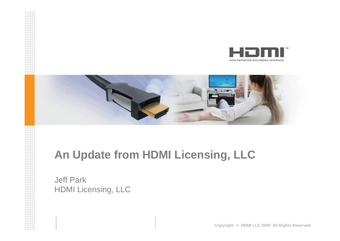



#### **An Update from HDMI Licensing, LLC**

Jeff Park HDMI Licensing, LLC

**Copyright © HDMI LLC 2009 All Rights Reserved**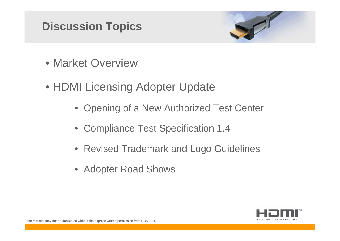### **Discussion Topics**



- Market Overview
- HDMI Licensing Adopter Update
	- Opening of a New Authorized Test Center
	- Compliance Test Specification 1.4
	- Revised Trademark and Logo Guidelines
	- Adopter Road Shows

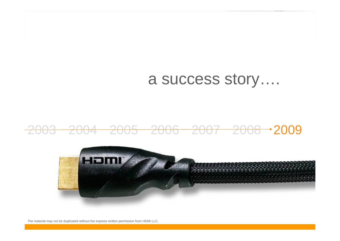# a success story….

#### 2003 2004 2005 2006 2007 2008 2009



The material may not be duplicated without the express written permission from HDMI LLC.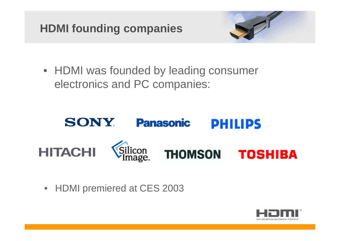## **HDMI founding companies**



• HDMI was founded by leading consumer electronics and PC companies:



• HDMI premiered at CES 2003

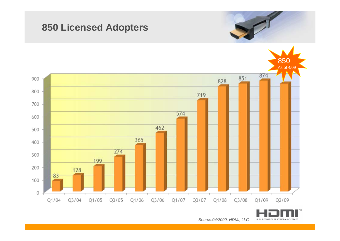#### **850 Licensed Adopters**





*Source:04/2009, HDMI, LLC*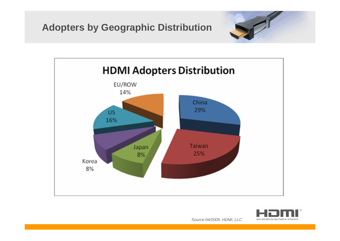





*Source:04/2009, HDMI, LLC*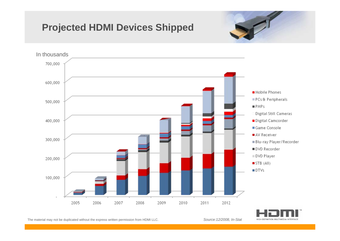#### **Projected HDMI Devices Shipped**







The material may not be duplicated without the express written permission from HDMI LLC. *Source:12/2008, In-Stat*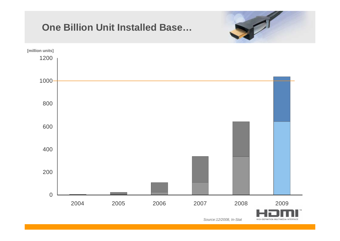#### **One Billion Unit Installed Base…**





HIGH-DEFINITION MULTIMEDIA INTERFACE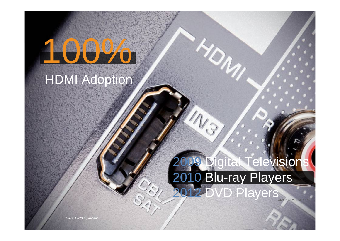# 00%

HDMI Adoption

# **2**igital Television 2010 Blu-ray Players 2012 DVD Players *Source:12/2008, In-Stat*

 $\mathcal{V}_{\mathcal{N}_{\mathcal{U}}}$ 

*Source:12/2008, In-Stat*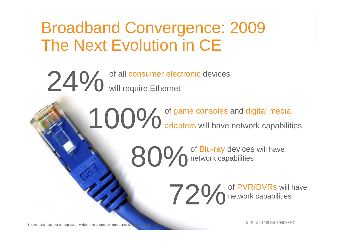# Broadband Convergence: 2009 The Next Evolution in CE

24% of all consumer electronic devices

100% of game consoles and digital media<br> **100%** adapters will have network capabilities

80% of Blu-ray devices will have

**720** of PVR/DVRs will have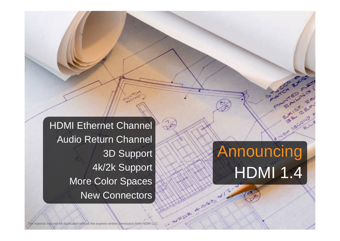**HDMI Ethernet Channel** Audio Return Channel 3D Support 4k/2k Support More Color Spaces New Connectors

# Announcing HDMI 1.4

MARY ASIA

e material may not be duplicated without the express written permission from HDMI LLC.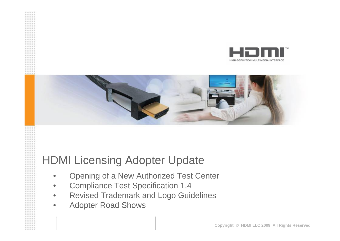



#### HDMI Licensing Adopter Update

- •Opening of a New Authorized Test Center
- •Compliance Test Specification 1.4
- •Revised Trademark and Logo Guidelines
- •Adopter Road Shows

**Copyright © HDMI LLC 2009 All Rights Reserved**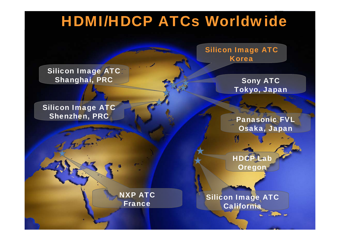# HDMI/HDCP ATCs Worldwide

Silicon Image ATC Shanghai, PRC

#### Silicon Image ATC Shenzhen, PRC

Silicon Image ATC Korea

> Sony ATC Tokyo, Japan

Panasonic FVL Osaka, Japan

**HDCP Lab Oregon** 

Silicon Image ATC California

NXP ATC France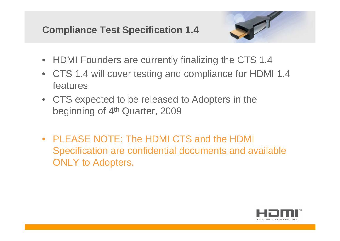**Compliance Test Specification 1.4**



- HDMI Founders are currently finalizing the CTS 1.4
- CTS 1.4 will cover testing and compliance for HDMI 1.4 features
- CTS expected to be released to Adopters in the beginning of 4<sup>th</sup> Quarter, 2009
- PLEASE NOTE: The HDMI CTS and the HDMI Specification are confidential documents and available ONLY to Adopters.

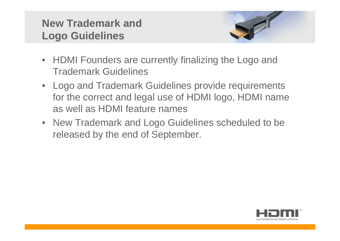#### **New Trademark and Logo Guidelines**



- HDMI Founders are currently finalizing the Logo and Trademark Guidelines
- Logo and Trademark Guidelines provide requirements for the correct and legal use of HDMI logo, HDMI name as well as HDMI feature names
- New Trademark and Logo Guidelines scheduled to be released by the end of September.

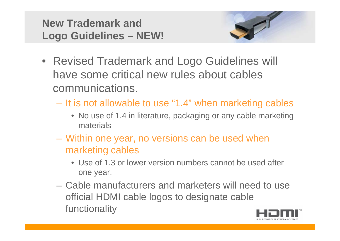



- Revised Trademark and Logo Guidelines will have some critical new rules about cables communications.
	- It is not allowable to use "1.4" when marketing cables
		- No use of 1.4 in literature, packaging or any cable marketing materials
	- Within one year, no versions can be used when marketing cables
		- Use of 1.3 or lower version numbers cannot be used after one year.
	- Cable manufacturers and marketers will need to use official HDMI cable logos to designate cable functionality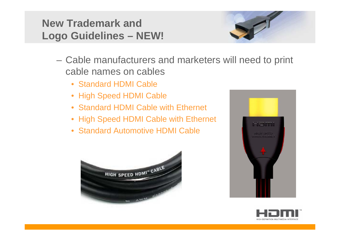#### **New Trademark and Logo Guidelines – NEW!**



- Cable manufacturers and marketers will need to print cable names on cables
	- Standard HDMI Cable
	- High Speed HDMI Cable
	- Standard HDMI Cable with Ethernet
	- High Speed HDMI Cable with Ethernet
	- Standard Automotive HDMI Cable





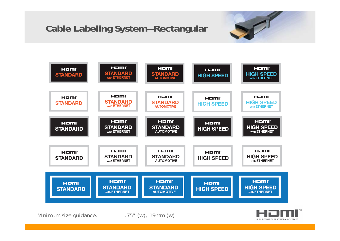#### **Cable Labeling System—Rectangular**





Minimum size guidance:  $.75''$  (w); 19mm (w)

HIGH-DEFINITION MULTIMEDIA INTERFACE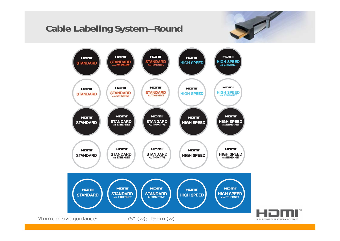#### **Cable Labeling System—Round**



HIGH-DEFINITION MULTIMEDIA INTERFACE

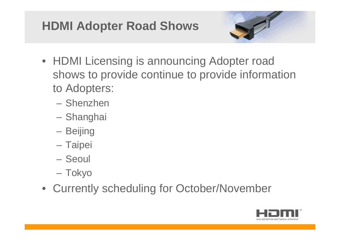# **HDMI Adopter Road Shows**



- HDMI Licensing is announcing Adopter road shows to provide continue to provide information to Adopters:
	- Shenzhen
	- Shanghai
	- Beijing
	- Taipei
	- Seoul
	- Tokyo
- Currently scheduling for October/November

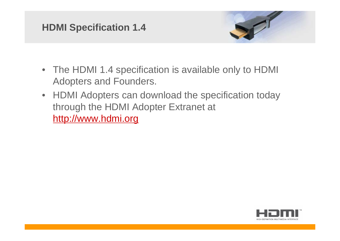#### **HDMI Specification 1.4**



- The HDMI 1.4 specification is available only to HDMI Adopters and Founders.
- HDMI Adopters can download the specification today through the HDMI Adopter Extranet at [http://www.hdmi.org](http://www.hdmi.org/)